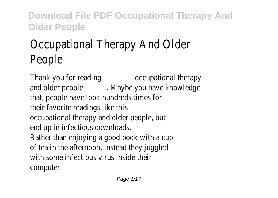# Occupational Therapy And Older People

Thank you for reading occupational therapy and older people . Maybe you have knowledge that, people have look hundreds times for their favorite readings like this occupational therapy and older people, but end up in infectious downloads. Rather than enjoying a good book with a cup of tea in the afternoon, instead they juggled with some infectious virus inside their computer.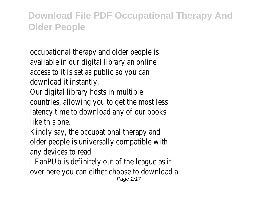occupational therapy and older people is available in our digital library an online access to it is set as public so you can download it instantly.

Our digital library hosts in multiple countries, allowing you to get the most less latency time to download any of our books like this one.

Kindly say, the occupational therapy and older people is universally compatible with any devices to read

LEanPUb is definitely out of the league as it over here you can either choose to download a Page 2/17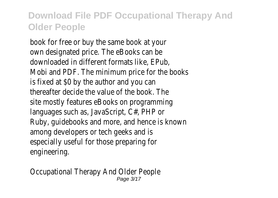book for free or buy the same book at your own designated price. The eBooks can be downloaded in different formats like, EPub, Mobi and PDF. The minimum price for the books is fixed at \$0 by the author and you can thereafter decide the value of the book. The site mostly features eBooks on programming languages such as, JavaScript, C#, PHP or Ruby, guidebooks and more, and hence is known among developers or tech geeks and is especially useful for those preparing for engineering.

Occupational Therapy And Older People Page 3/17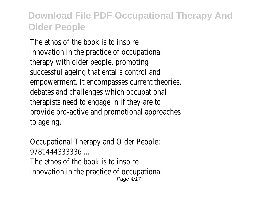The ethos of the book is to inspire innovation in the practice of occupational therapy with older people, promoting successful ageing that entails control and empowerment. It encompasses current theories, debates and challenges which occupational therapists need to engage in if they are to provide pro-active and promotional approaches to ageing.

Occupational Therapy and Older People: 9781444333336 ... The ethos of the book is to inspire innovation in the practice of occupational Page 4/17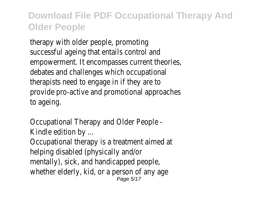therapy with older people, promoting successful ageing that entails control and empowerment. It encompasses current theories, debates and challenges which occupational therapists need to engage in if they are to provide pro-active and promotional approaches to ageing.

Occupational Therapy and Older People - Kindle edition by ...

Occupational therapy is a treatment aimed at helping disabled (physically and/or mentally), sick, and handicapped people, whether elderly, kid, or a person of any age Page 5/17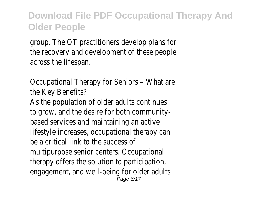group. The OT practitioners develop plans for the recovery and development of these people across the lifespan.

Occupational Therapy for Seniors – What are the Key Benefits?

As the population of older adults continues to grow, and the desire for both communitybased services and maintaining an active lifestyle increases, occupational therapy can be a critical link to the success of multipurpose senior centers. Occupational therapy offers the solution to participation, engagement, and well-being for older adults Page 6/17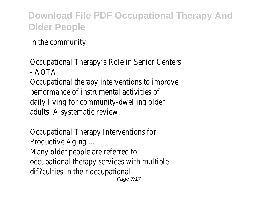in the community.

Occupational Therapy's Role in Senior Centers - AOTA

Occupational therapy interventions to improve performance of instrumental activities of daily living for community-dwelling older adults: A systematic review.

Occupational Therapy Interventions for Productive Aging ...

Many older people are referred to occupational therapy services with multiple dif?culties in their occupational Page 7/17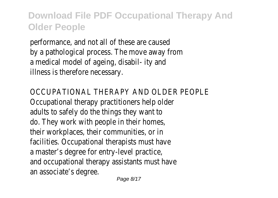performance, and not all of these are caused by a pathological process. The move away from a medical model of ageing, disabil- ity and illness is therefore necessary.

OCCUPATIONAL THERAPY AND OLDER PEOPLE Occupational therapy practitioners help older adults to safely do the things they want to do. They work with people in their homes, their workplaces, their communities, or in facilities. Occupational therapists must have a master's degree for entry-level practice, and occupational therapy assistants must have an associate's degree.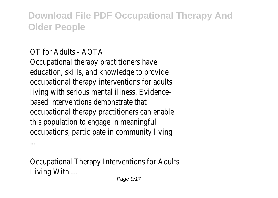#### OT for Adults - AOTA

Occupational therapy practitioners have education, skills, and knowledge to provide occupational therapy interventions for adults living with serious mental illness. Evidencebased interventions demonstrate that occupational therapy practitioners can enable this population to engage in meaningful occupations, participate in community living

...

Occupational Therapy Interventions for Adults Living With ...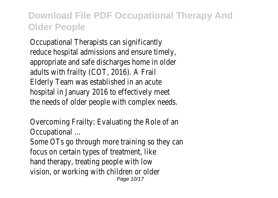Occupational Therapists can significantly reduce hospital admissions and ensure timely, appropriate and safe discharges home in older adults with frailty (COT, 2016). A Frail Elderly Team was established in an acute hospital in January 2016 to effectively meet the needs of older people with complex needs.

Overcoming Frailty: Evaluating the Role of an Occupational ...

Some OTs go through more training so they can focus on certain types of treatment, like hand therapy, treating people with low vision, or working with children or older Page 10/17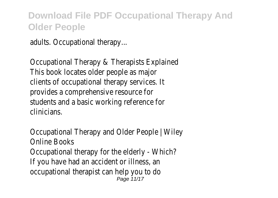adults. Occupational therapy...

Occupational Therapy & Therapists Explained This book locates older people as major clients of occupational therapy services. It provides a comprehensive resource for students and a basic working reference for clinicians.

Occupational Therapy and Older People | Wiley Online Books Occupational therapy for the elderly - Which? If you have had an accident or illness, an occupational therapist can help you to do Page 11/17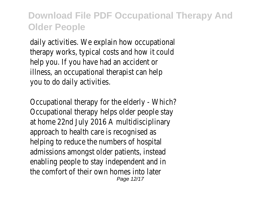daily activities. We explain how occupational therapy works, typical costs and how it could help you. If you have had an accident or illness, an occupational therapist can help you to do daily activities.

Occupational therapy for the elderly - Which? Occupational therapy helps older people stay at home 22nd July 2016 A multidisciplinary approach to health care is recognised as helping to reduce the numbers of hospital admissions amongst older patients, instead enabling people to stay independent and in the comfort of their own homes into later Page 12/17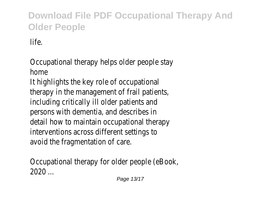life.

Occupational therapy helps older people stay home

It highlights the key role of occupational therapy in the management of frail patients, including critically ill older patients and persons with dementia, and describes in detail how to maintain occupational therapy interventions across different settings to avoid the fragmentation of care.

Occupational therapy for older people (eBook, 2020 ...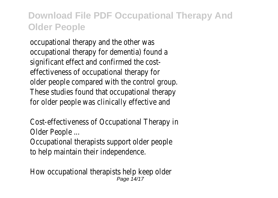occupational therapy and the other was occupational therapy for dementia) found a significant effect and confirmed the costeffectiveness of occupational therapy for older people compared with the control group. These studies found that occupational therapy for older people was clinically effective and

Cost-effectiveness of Occupational Therapy in Older People ...

Occupational therapists support older people to help maintain their independence.

How occupational therapists help keep older Page 14/17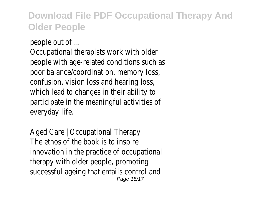people out of ...

Occupational therapists work with older people with age-related conditions such as poor balance/coordination, memory loss, confusion, vision loss and hearing loss, which lead to changes in their ability to participate in the meaningful activities of everyday life.

Aged Care | Occupational Therapy The ethos of the book is to inspire innovation in the practice of occupational therapy with older people, promoting successful ageing that entails control and Page 15/17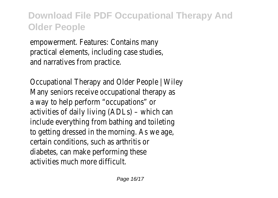empowerment. Features: Contains many practical elements, including case studies, and narratives from practice.

Occupational Therapy and Older People | Wiley Many seniors receive occupational therapy as a way to help perform "occupations" or activities of daily living (ADLs) – which can include everything from bathing and toileting to getting dressed in the morning. As we age, certain conditions, such as arthritis or diabetes, can make performing these activities much more difficult.